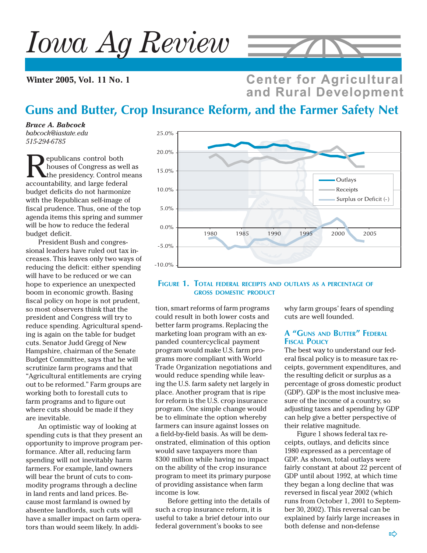# *Iowa Ag Review*

**Winter 2005, Vol. 11 No. 1**



**Center for Agricultural** and Rural Development

## **Guns and Butter, Crop Insurance Reform, and the Farmer Safety Net**

*Bruce A. Babcock babcock@iastate.edu 515-294-6785*

**Republicans control both**<br>houses of Congress as we<br>accountability and large federation houses of Congress as well as the presidency. Control means accountability, and large federal budget deficits do not harmonize with the Republican self-image of fiscal prudence. Thus, one of the top agenda items this spring and summer will be how to reduce the federal budget deficit.

President Bush and congressional leaders have ruled out tax increases. This leaves only two ways of reducing the deficit: either spending will have to be reduced or we can hope to experience an unexpected boom in economic growth. Basing fiscal policy on hope is not prudent, so most observers think that the president and Congress will try to reduce spending. Agricultural spending is again on the table for budget cuts. Senator Judd Gregg of New Hampshire, chairman of the Senate Budget Committee, says that he will scrutinize farm programs and that "Agricultural entitlements are crying out to be reformed." Farm groups are working both to forestall cuts to farm programs and to figure out where cuts should be made if they are inevitable.

An optimistic way of looking at spending cuts is that they present an opportunity to improve program performance. After all, reducing farm spending will not inevitably harm farmers. For example, land owners will bear the brunt of cuts to commodity programs through a decline in land rents and land prices. Because most farmland is owned by absentee landlords, such cuts will have a smaller impact on farm operators than would seem likely. In addi-



#### **FIGURE 1. TOTAL FEDERAL RECEIPTS AND OUTLAYS AS <sup>A</sup> PERCENTAGE OF GROSS DOMESTIC PRODUCT**

tion, smart reforms of farm programs could result in both lower costs and better farm programs. Replacing the marketing loan program with an expanded countercyclical payment program would make U.S. farm programs more compliant with World Trade Organization negotiations and would reduce spending while leaving the U.S. farm safety net largely in place. Another program that is ripe for reform is the U.S. crop insurance program. One simple change would be to eliminate the option whereby farmers can insure against losses on a field-by-field basis. As will be demonstrated, elimination of this option would save taxpayers more than \$300 million while having no impact on the ability of the crop insurance program to meet its primary purpose of providing assistance when farm income is low.

Before getting into the details of such a crop insurance reform, it is useful to take a brief detour into our federal government's books to see

why farm groups' fears of spending cuts are well founded.

#### **A "GUNS AND BUTTER" FEDERAL FISCAL POLICY**

The best way to understand our federal fiscal policy is to measure tax receipts, government expenditures, and the resulting deficit or surplus as a percentage of gross domestic product (GDP). GDP is the most inclusive measure of the income of a country, so adjusting taxes and spending by GDP can help give a better perspective of their relative magnitude.

Figure 1 shows federal tax receipts, outlays, and deficits since 1980 expressed as a percentage of GDP. As shown, total outlays were fairly constant at about 22 percent of GDP until about 1992, at which time they began a long decline that was reversed in fiscal year 2002 (which runs from October 1, 2001 to September 30, 2002). This reversal can be explained by fairly large increases in both defense and non-defense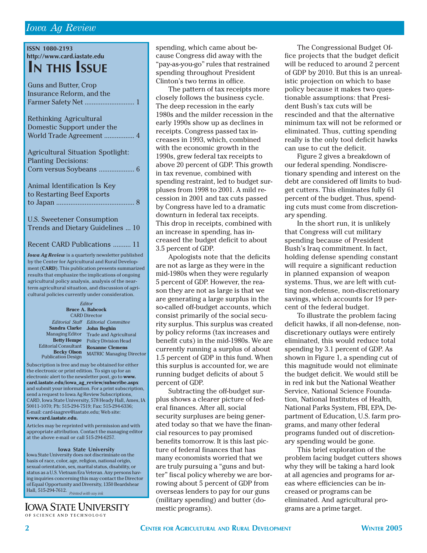#### *Iowa Ag Review*

| <b>ISSN 1080-2193</b>                                                  |  |  |  |  |  |
|------------------------------------------------------------------------|--|--|--|--|--|
| http://www.card.iastate.edu                                            |  |  |  |  |  |
|                                                                        |  |  |  |  |  |
| <b>IN THIS ISSUE</b>                                                   |  |  |  |  |  |
|                                                                        |  |  |  |  |  |
| <b>Guns and Butter, Crop</b>                                           |  |  |  |  |  |
| Insurance Reform, and the                                              |  |  |  |  |  |
| Farmer Safety Net  1                                                   |  |  |  |  |  |
|                                                                        |  |  |  |  |  |
|                                                                        |  |  |  |  |  |
| <b>Rethinking Agricultural</b>                                         |  |  |  |  |  |
| Domestic Support under the                                             |  |  |  |  |  |
| World Trade Agreement  4                                               |  |  |  |  |  |
|                                                                        |  |  |  |  |  |
| <b>Agricultural Situation Spotlight:</b>                               |  |  |  |  |  |
| <b>Planting Decisions:</b>                                             |  |  |  |  |  |
| Corn versus Soybeans<br>. 6                                            |  |  |  |  |  |
|                                                                        |  |  |  |  |  |
|                                                                        |  |  |  |  |  |
| Animal Identification Is Key                                           |  |  |  |  |  |
| to Restarting Beef Exports                                             |  |  |  |  |  |
| 8                                                                      |  |  |  |  |  |
|                                                                        |  |  |  |  |  |
| <b>U.S. Sweetener Consumption</b>                                      |  |  |  |  |  |
|                                                                        |  |  |  |  |  |
| Trends and Dietary Guidelines  10                                      |  |  |  |  |  |
|                                                                        |  |  |  |  |  |
| Recent CARD Publications  11                                           |  |  |  |  |  |
| <b>Iowa Ag Review</b> is a quarterly newsletter published              |  |  |  |  |  |
| by the Center for Agricultural and Rural Develop-                      |  |  |  |  |  |
| ment (CARD). This publication presents summarized                      |  |  |  |  |  |
| results that emphasize the implications of ongoing                     |  |  |  |  |  |
| agricultural policy analysis, analysis of the near-                    |  |  |  |  |  |
| term agricultural situation, and discussion of agri-                   |  |  |  |  |  |
| cultural policies currently under consideration.                       |  |  |  |  |  |
| Editor                                                                 |  |  |  |  |  |
| <b>Bruce A. Babcock</b>                                                |  |  |  |  |  |
| <b>CARD Director</b>                                                   |  |  |  |  |  |
| <b>Editorial Staff</b><br><b>Editorial Committee</b><br>Sandra Clarke  |  |  |  |  |  |
| <b>John Beghin</b><br>Managing Editor<br><b>Trade and Agricultural</b> |  |  |  |  |  |
| <b>Betty Hempe</b><br><b>Policy Division Head</b>                      |  |  |  |  |  |
| <b>Editorial Consultant</b><br><b>Roxanne Clemens</b>                  |  |  |  |  |  |
| <b>Becky Olson</b>                                                     |  |  |  |  |  |

Subscription is free and may be obtained for either the electronic or print edition. To sign up for an electronic alert to the newsletter post, go to **www. card.iastate.edu/iowa\_ag\_review/subscribe.aspx** and submit your information. For a print subscription, send a request to Iowa Ag Review Subscriptions, CARD, Iowa State University, 578 Heady Hall, Ames, IA 50011-1070; Ph: 515-294-7519; Fax: 515-294-6336; E-mail: card-iaagrev@iastate.edu; Web site: **www.card.iastate.edu.**

Articles may be reprinted with permission and with appropriate attribution. Contact the managing editor at the above e-mail or call 515-294-6257.

#### **Iowa State University**

Iowa State University does not discriminate on the basis of race, color, age, religion, national origin, sexual orientation, sex, marital status, disability, or status as a U.S. Vietnam Era Veteran. Any persons having inquiries concerning this may contact the Director of Equal Opportunity and Diversity, 1350 Beardshear Hall, 515-294-7612. *Printed with soy ink*

**IOWA STATE UNIVERSITY** OF SCIENCE AND TECHNOLOGY

spending, which came about because Congress did away with the "pay-as-you-go" rules that restrained spending throughout President Clinton's two terms in office.

The pattern of tax receipts more closely follows the business cycle. The deep recession in the early 1980s and the milder recession in the early 1990s show up as declines in receipts. Congress passed tax increases in 1993, which, combined with the economic growth in the 1990s, grew federal tax receipts to above 20 percent of GDP. This growth in tax revenue, combined with spending restraint, led to budget surpluses from 1998 to 2001. A mild recession in 2001 and tax cuts passed by Congress have led to a dramatic downturn in federal tax receipts. This drop in receipts, combined with an increase in spending, has increased the budget deficit to about 3.5 percent of GDP.

Apologists note that the deficits are not as large as they were in the mid-1980s when they were regularly 5 percent of GDP. However, the reason they are not as large is that we are generating a large surplus in the so-called off-budget accounts, which consist primarily of the social security surplus. This surplus was created by policy reforms (tax increases and benefit cuts) in the mid-1980s. We are currently running a surplus of about 1.5 percent of GDP in this fund. When this surplus is accounted for, we are running budget deficits of about 5 percent of GDP.

Subtracting the off-budget surplus shows a clearer picture of federal finances. After all, social security surpluses are being generated today so that we have the financial resources to pay promised benefits tomorrow. It is this last picture of federal finances that has many economists worried that we are truly pursuing a "guns and butter" fiscal policy whereby we are borrowing about 5 percent of GDP from overseas lenders to pay for our guns (military spending) and butter (domestic programs).

The Congressional Budget Office projects that the budget deficit will be reduced to around 2 percent of GDP by 2010. But this is an unrealistic projection on which to base policy because it makes two questionable assumptions: that President Bush's tax cuts will be rescinded and that the alternative minimum tax will not be reformed or eliminated. Thus, cutting spending really is the only tool deficit hawks can use to cut the deficit.

Figure 2 gives a breakdown of our federal spending. Nondiscretionary spending and interest on the debt are considered off limits to budget cutters. This eliminates fully 61 percent of the budget. Thus, spending cuts must come from discretionary spending.

In the short run, it is unlikely that Congress will cut military spending because of President Bush's Iraq commitment. In fact, holding defense spending constant will require a significant reduction in planned expansion of weapon systems. Thus, we are left with cutting non-defense, non-discretionary savings, which accounts for 19 percent of the federal budget.

To illustrate the problem facing deficit hawks, if all non-defense, nondiscretionary outlays were entirely eliminated, this would reduce total spending by 3.1 percent of GDP. As shown in Figure 1, a spending cut of this magnitude would not eliminate the budget deficit. We would still be in red ink but the National Weather Service, National Science Foundation, National Institutes of Health, National Parks System, FBI, EPA, Department of Education, U.S. farm programs, and many other federal programs funded out of discretionary spending would be gone.

This brief exploration of the problem facing budget cutters shows why they will be taking a hard look at all agencies and programs for areas where efficiencies can be increased or programs can be eliminated. And agricultural programs are a prime target.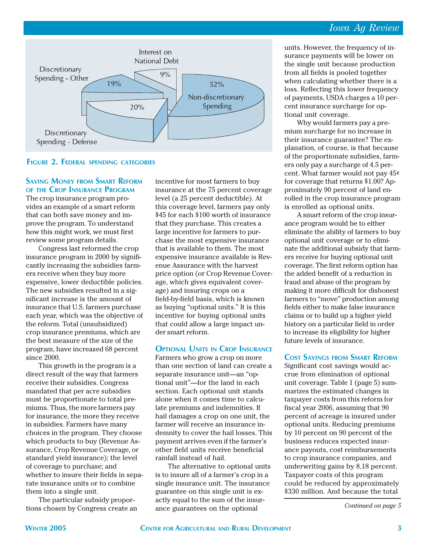#### *Iowa Ag Review*



#### **FIGURE 2. FEDERAL SPENDING CATEGORIES**

#### **SAVING MONEY FROM SMART REFORM OF THE CROP INSURANCE PROGRAM**

The crop insurance program provides an example of a smart reform that can both save money and improve the program. To understand how this might work, we must first review some program details.

Congress last reformed the crop insurance program in 2000 by significantly increasing the subsidies farmers receive when they buy more expensive, lower deductible policies. The new subsidies resulted in a significant increase is the amount of insurance that U.S. farmers purchase each year, which was the objective of the reform. Total (unsubsidized) crop insurance premiums, which are the best measure of the size of the program, have increased 68 percent since 2000.

This growth in the program is a direct result of the way that farmers receive their subsidies. Congress mandated that per acre subsidies must be proportionate to total premiums. Thus, the more farmers pay for insurance, the more they receive in subsidies. Farmers have many choices in the program. They choose which products to buy (Revenue Assurance, Crop Revenue Coverage, or standard yield insurance); the level of coverage to purchase; and whether to insure their fields in separate insurance units or to combine them into a single unit.

The particular subsidy proportions chosen by Congress create an incentive for most farmers to buy insurance at the 75 percent coverage level (a 25 percent deductible). At this coverage level, farmers pay only \$45 for each \$100 worth of insurance that they purchase. This creates a large incentive for farmers to purchase the most expensive insurance that is available to them. The most expensive insurance available is Revenue Assurance with the harvest price option (or Crop Revenue Coverage, which gives equivalent coverage) and insuring crops on a field-by-field basis, which is known as buying "optional units." It is this incentive for buying optional units that could allow a large impact under smart reform.

#### **OPTIONAL UNITS IN CROP INSURANCE**

Farmers who grow a crop on more than one section of land can create a separate insurance unit—an "optional unit"—for the land in each section. Each optional unit stands alone when it comes time to calculate premiums and indemnities. If hail damages a crop on one unit, the farmer will receive an insurance indemnity to cover the hail losses. This payment arrives even if the farmer's other field units receive beneficial rainfall instead of hail.

The alternative to optional units is to insure all of a farmer's crop in a single insurance unit. The insurance guarantee on this single unit is exactly equal to the sum of the insurance guarantees on the optional

units. However, the frequency of insurance payments will be lower on the single unit because production from all fields is pooled together when calculating whether there is a loss. Reflecting this lower frequency of payments, USDA charges a 10 percent insurance surcharge for optional unit coverage.

Why would farmers pay a premium surcharge for no increase in their insurance guarantee? The explanation, of course, is that because of the proportionate subsidies, farmers only pay a surcharge of 4.5 percent. What farmer would not pay 45¢ for coverage that returns \$1.00? Approximately 90 percent of land enrolled in the crop insurance program is enrolled as optional units.

A smart reform of the crop insurance program would be to either eliminate the ability of farmers to buy optional unit coverage or to eliminate the additional subsidy that farmers receive for buying optional unit coverage. The first reform option has the added benefit of a reduction in fraud and abuse of the program by making it more difficult for dishonest farmers to "move" production among fields either to make false insurance claims or to build up a higher yield history on a particular field in order to increase its eligibility for higher future levels of insurance.

#### **COST SAVINGS FROM SMART REFORM**

Significant cost savings would accrue from elimination of optional unit coverage. Table 1 (page 5) summarizes the estimated changes in taxpayer costs from this reform for fiscal year 2006, assuming that 90 percent of acreage is insured under optional units. Reducing premiums by 10 percent on 90 percent of the business reduces expected insurance payouts, cost reimbursements to crop insurance companies, and underwriting gains by 8.18 percent. Taxpayer costs of this program could be reduced by approximately \$330 million. And because the total

*Continued on page 5*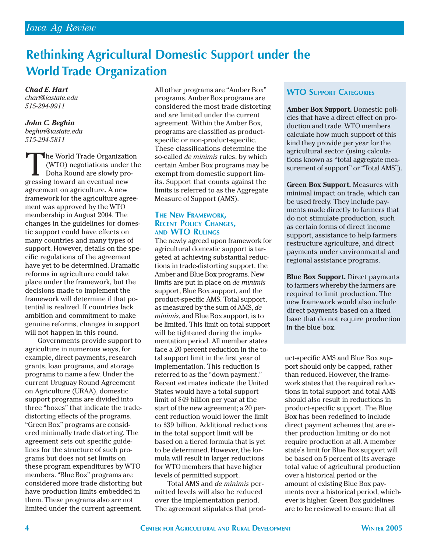## **Rethinking Agricultural Domestic Support under the World Trade Organization**

*Chad E. Hart chart@iastate.edu 515-294-9911*

*John C. Beghin beghin@iastate.edu 515-294-5811*

The World Trade Organization<br>
(WTO) negotiations under the Doha Round are slowly pro-<br>
gressing toward an eventual new (WTO) negotiations under the Doha Round are slowly progressing toward an eventual new agreement on agriculture. A new framework for the agriculture agreement was approved by the WTO membership in August 2004. The changes in the guidelines for domestic support could have effects on many countries and many types of support. However, details on the specific regulations of the agreement have yet to be determined. Dramatic reforms in agriculture could take place under the framework, but the decisions made to implement the framework will determine if that potential is realized. If countries lack ambition and commitment to make genuine reforms, changes in support will not happen in this round.

Governments provide support to agriculture in numerous ways, for example, direct payments, research grants, loan programs, and storage programs to name a few. Under the current Uruguay Round Agreement on Agriculture (URAA), domestic support programs are divided into three "boxes" that indicate the tradedistorting effects of the programs. "Green Box" programs are considered minimally trade distorting. The agreement sets out specific guidelines for the structure of such programs but does not set limits on these program expenditures by WTO members. "Blue Box" programs are considered more trade distorting but have production limits embedded in them. These programs also are not limited under the current agreement.

All other programs are "Amber Box" programs. Amber Box programs are considered the most trade distorting and are limited under the current agreement. Within the Amber Box, programs are classified as productspecific or non-product-specific. These classifications determine the so-called *de minimis* rules, by which certain Amber Box programs may be exempt from domestic support limits. Support that counts against the limits is referred to as the Aggregate Measure of Support (AMS).

## **THE NEW FRAMEWORK, RECENT POLICY CHANGES, AND WTO RULINGS**

The newly agreed upon framework for agricultural domestic support is targeted at achieving substantial reductions in trade-distorting support, the Amber and Blue Box programs. New limits are put in place on *de minimis* support, Blue Box support, and the product-specific AMS. Total support, as measured by the sum of AMS, *de minimis*, and Blue Box support, is to be limited. This limit on total support will be tightened during the implementation period. All member states face a 20 percent reduction in the total support limit in the first year of implementation. This reduction is referred to as the "down payment." Recent estimates indicate the United States would have a total support limit of \$49 billion per year at the start of the new agreement; a 20 percent reduction would lower the limit to \$39 billion. Additional reductions in the total support limit will be based on a tiered formula that is yet to be determined. However, the formula will result in larger reductions for WTO members that have higher levels of permitted support.

Total AMS and *de minimis* permitted levels will also be reduced over the implementation period. The agreement stipulates that prod-

#### **WTO SUPPORT CATEGORIES**

**Amber Box Support.** Domestic policies that have a direct effect on production and trade. WTO members calculate how much support of this kind they provide per year for the agricultural sector (using calculations known as "total aggregate measurement of support" or "Total AMS").

**Green Box Support.** Measures with minimal impact on trade, which can be used freely. They include payments made directly to farmers that do not stimulate production, such as certain forms of direct income support, assistance to help farmers restructure agriculture, and direct payments under environmental and regional assistance programs.

**Blue Box Support.** Direct payments to farmers whereby the farmers are required to limit production. The new framework would also include direct payments based on a fixed base that do not require production in the blue box.

uct-specific AMS and Blue Box support should only be capped, rather than reduced. However, the framework states that the required reductions in total support and total AMS should also result in reductions in product-specific support. The Blue Box has been redefined to include direct payment schemes that are either production limiting or do not require production at all. A member state's limit for Blue Box support will be based on 5 percent of its average total value of agricultural production over a historical period or the amount of existing Blue Box payments over a historical period, whichever is higher. Green Box guidelines are to be reviewed to ensure that all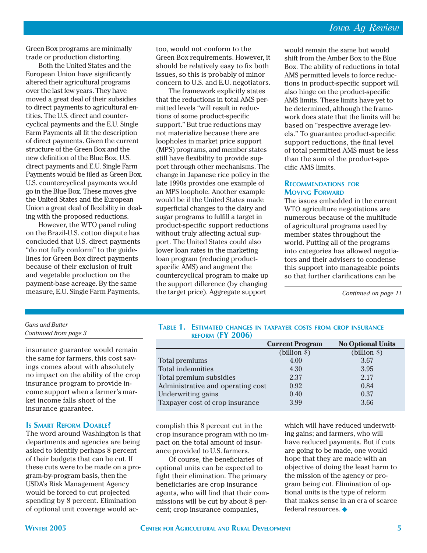Green Box programs are minimally trade or production distorting.

Both the United States and the European Union have significantly altered their agricultural programs over the last few years. They have moved a great deal of their subsidies to direct payments to agricultural entities. The U.S. direct and countercyclical payments and the E.U. Single Farm Payments all fit the description of direct payments. Given the current structure of the Green Box and the new definition of the Blue Box, U.S. direct payments and E.U. Single Farm Payments would be filed as Green Box. U.S. countercyclical payments would go in the Blue Box. These moves give the United States and the European Union a great deal of flexibility in dealing with the proposed reductions.

However, the WTO panel ruling on the Brazil-U.S. cotton dispute has concluded that U.S. direct payments "do not fully conform" to the guidelines for Green Box direct payments because of their exclusion of fruit and vegetable production on the payment-base acreage. By the same measure, E.U. Single Farm Payments, too, would not conform to the Green Box requirements. However, it should be relatively easy to fix both issues, so this is probably of minor concern to U.S. and E.U. negotiators.

The framework explicitly states that the reductions in total AMS permitted levels "will result in reductions of some product-specific support." But true reductions may not materialize because there are loopholes in market price support (MPS) programs, and member states still have flexibility to provide support through other mechanisms. The change in Japanese rice policy in the late 1990s provides one example of an MPS loophole. Another example would be if the United States made superficial changes to the dairy and sugar programs to fulfill a target in product-specific support reductions without truly affecting actual support. The United States could also lower loan rates in the marketing loan program (reducing productspecific AMS) and augment the countercyclical program to make up the support difference (by changing the target price). Aggregate support

would remain the same but would shift from the Amber Box to the Blue Box. The ability of reductions in total AMS permitted levels to force reductions in product-specific support will also hinge on the product-specific AMS limits. These limits have yet to be determined, although the framework does state that the limits will be based on "respective average levels." To guarantee product-specific support reductions, the final level of total permitted AMS must be less than the sum of the product-specific AMS limits.

#### **RECOMMENDATIONS FOR MOVING FORWARD**

The issues embedded in the current WTO agriculture negotiations are numerous because of the multitude of agricultural programs used by member states throughout the world. Putting all of the programs into categories has allowed negotiators and their advisers to condense this support into manageable points so that further clarifications can be

*Continued on page 11*

#### *Guns and Butter Continued from page 3*

insurance guarantee would remain the same for farmers, this cost savings comes about with absolutely no impact on the ability of the crop insurance program to provide income support when a farmer's market income falls short of the insurance guarantee.

#### **IS SMART REFORM DOABLE?**

The word around Washington is that departments and agencies are being asked to identify perhaps 8 percent of their budgets that can be cut. If these cuts were to be made on a program-by-program basis, then the USDA's Risk Management Agency would be forced to cut projected spending by 8 percent. Elimination of optional unit coverage would ac-

|                  | TABLE 1. ESTIMATED CHANGES IN TAXPAYER COSTS FROM CROP INSURANCE |  |  |  |
|------------------|------------------------------------------------------------------|--|--|--|
| REFORM (FY 2006) |                                                                  |  |  |  |

|                                   | <b>Current Program</b> | <b>No Optional Units</b> |
|-----------------------------------|------------------------|--------------------------|
|                                   | $(billion \$           | $(billion \$             |
| Total premiums                    | 4.00                   | 3.67                     |
| Total indemnities                 | 4.30                   | 3.95                     |
| Total premium subsidies           | 2.37                   | 2.17                     |
| Administrative and operating cost | 0.92                   | 0.84                     |
| Underwriting gains                | 0.40                   | 0.37                     |
| Taxpayer cost of crop insurance   | 3.99                   | 3.66                     |

complish this 8 percent cut in the crop insurance program with no impact on the total amount of insurance provided to U.S. farmers.

Of course, the beneficiaries of optional units can be expected to fight their elimination. The primary beneficiaries are crop insurance agents, who will find that their commissions will be cut by about 8 percent; crop insurance companies,

which will have reduced underwriting gains; and farmers, who will have reduced payments. But if cuts are going to be made, one would hope that they are made with an objective of doing the least harm to the mission of the agency or program being cut. Elimination of optional units is the type of reform that makes sense in an era of scarce federal resources. ◆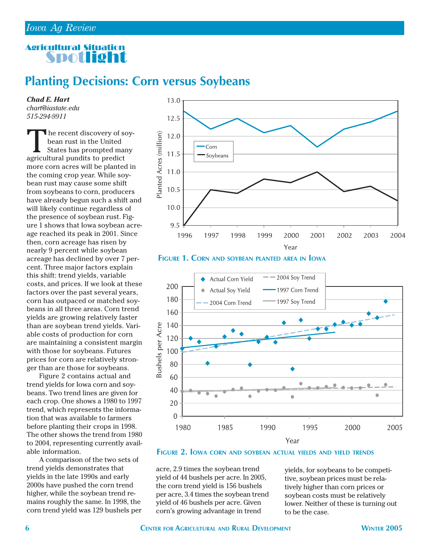### Agricultural Situation Spotlight

## **Planting Decisions: Corn versus Soybeans**

*Chad E. Hart chart@iastate.edu 515-294-9911*

The recent discovery of soy-<br>bean rust in the United<br>States has prompted many<br>agricultural pundits to predict bean rust in the United States has prompted many agricultural pundits to predict more corn acres will be planted in the coming crop year. While soybean rust may cause some shift from soybeans to corn, producers have already begun such a shift and will likely continue regardless of the presence of soybean rust. Figure 1 shows that Iowa soybean acreage reached its peak in 2001. Since then, corn acreage has risen by nearly 9 percent while soybean acreage has declined by over 7 percent. Three major factors explain this shift: trend yields, variable costs, and prices. If we look at these factors over the past several years, corn has outpaced or matched soybeans in all three areas. Corn trend yields are growing relatively faster than are soybean trend yields. Variable costs of production for corn are maintaining a consistent margin with those for soybeans. Futures prices for corn are relatively stronger than are those for soybeans.

Figure 2 contains actual and trend yields for Iowa corn and soybeans. Two trend lines are given for each crop. One shows a 1980 to 1997 trend, which represents the information that was available to farmers before planting their crops in 1998. The other shows the trend from 1980 to 2004, representing currently available information.

A comparison of the two sets of trend yields demonstrates that yields in the late 1990s and early 2000s have pushed the corn trend higher, while the soybean trend remains roughly the same. In 1998, the corn trend yield was 129 bushels per



**FIGURE 1. CORN AND SOYBEAN PLANTED AREA IN IOWA**



**FIGURE 2. IOWA CORN AND SOYBEAN ACTUAL YIELDS AND YIELD TRENDS**

acre, 2.9 times the soybean trend yield of 44 bushels per acre. In 2005, the corn trend yield is 156 bushels per acre, 3.4 times the soybean trend yield of 46 bushels per acre. Given corn's growing advantage in trend

yields, for soybeans to be competitive, soybean prices must be relatively higher than corn prices or soybean costs must be relatively lower. Neither of these is turning out to be the case.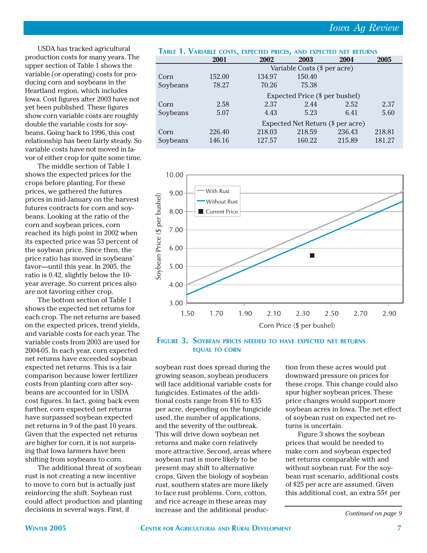USDA has tracked agricultural production costs for many years. The upper section of Table 1 shows the variable (or operating) costs for producing corn and soybeans in the Heartland region, which includes Iowa. Cost figures after 2003 have not yet been published. These figures show corn variable costs are roughly double the variable costs for soybeans. Going back to 1996, this cost relationship has been fairly steady. So variable costs have not moved in favor of either crop for quite some time.

The middle section of Table 1 shows the expected prices for the crops before planting. For these prices, we gathered the futures prices in mid-January on the harvest futures contracts for corn and soybeans. Looking at the ratio of the corn and soybean prices, corn reached its high point in 2002 when its expected price was 53 percent of the soybean price. Since then, the price ratio has moved in soybeans' favor—until this year. In 2005, the ratio is 0.42, slightly below the 10 year average. So current prices also are not favoring either crop.

The bottom section of Table 1 shows the expected net returns for each crop. The net returns are based on the expected prices, trend yields, and variable costs for each year. The variable costs from 2003 are used for 2004-05. In each year, corn expected net returns have exceeded soybean expected net returns. This is a fair comparison because lower fertilizer costs from planting corn after soybeans are accounted for in USDA cost figures. In fact, going back even further, corn expected net returns have surpassed soybean expected net returns in 9 of the past 10 years. Given that the expected net returns are higher for corn, it is not surprising that Iowa farmers have been shifting from soybeans to corn.

The additional threat of soybean rust is not creating a new incentive to move to corn but is actually just reinforcing the shift. Soybean rust could affect production and planting decisions in several ways. First, if

|          | TABLE 1. VARIABLE COSTS, EXPECTED PRICES, AND EXPECTED NET RETURNS |        |        |        |        |  |  |  |  |
|----------|--------------------------------------------------------------------|--------|--------|--------|--------|--|--|--|--|
|          | 2001                                                               | 2002   | 2003   | 2004   | 2005   |  |  |  |  |
|          | Variable Costs (\$ per acre)                                       |        |        |        |        |  |  |  |  |
| Corn     | 152.00                                                             | 134.97 | 150.40 |        |        |  |  |  |  |
| Soybeans | 78.27                                                              | 70.26  | 75.38  |        |        |  |  |  |  |
|          | Expected Price (\$ per bushel)                                     |        |        |        |        |  |  |  |  |
| Corn     | 2.58                                                               | 2.37   | 2.44   | 2.52   | 2.37   |  |  |  |  |
| Soybeans | 5.07                                                               | 4.43   | 5.23   | 6.41   | 5.60   |  |  |  |  |
|          | Expected Net Return (\$ per acre)                                  |        |        |        |        |  |  |  |  |
| Corn     | 226.40                                                             | 218.03 | 218.59 | 236.43 | 218.81 |  |  |  |  |
| Soybeans | 146.16                                                             | 127.57 | 160.22 | 215.89 | 181.27 |  |  |  |  |



#### **FIGURE 3. SOYBEAN PRICES NEEDED TO HAVE EXPECTED NET RETURNS EQUAL TO CORN**

soybean rust does spread during the growing season, soybean producers will face additional variable costs for fungicides. Estimates of the additional costs range from \$16 to \$35 per acre, depending on the fungicide used, the number of applications, and the severity of the outbreak. This will drive down soybean net returns and make corn relatively more attractive. Second, areas where soybean rust is more likely to be present may shift to alternative crops. Given the biology of soybean rust, southern states are more likely to face rust problems. Corn, cotton, and rice acreage in these areas may increase and the additional produc-

tion from these acres would put downward pressure on prices for these crops. This change could also spur higher soybean prices. These price changes would support more soybean acres in Iowa. The net effect of soybean rust on expected net returns is uncertain.

Figure 3 shows the soybean prices that would be needed to make corn and soybean expected net returns comparable with and without soybean rust. For the soybean rust scenario, additional costs of \$25 per acre are assumed. Given this additional cost, an extra 55¢ per

*Continued on page 9*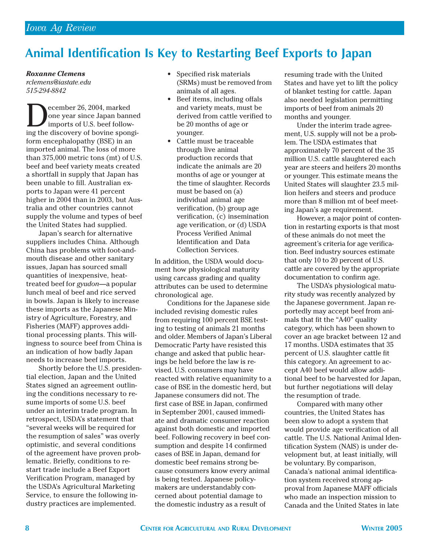## **Animal Identification Is Key to Restarting Beef Exports to Japan**

*Roxanne Clemens*

*rclemens@iastate.edu 515-294-8842*

ecember 26, 2004, marked one year since Japan banned imports of U.S. beef following the discovery of bovine spongiform encephalopathy (BSE) in an imported animal. The loss of more than 375,000 metric tons (mt) of U.S. beef and beef variety meats created a shortfall in supply that Japan has been unable to fill. Australian exports to Japan were 41 percent higher in 2004 than in 2003, but Australia and other countries cannot supply the volume and types of beef the United States had supplied.

Japan's search for alternative suppliers includes China. Although China has problems with foot-andmouth disease and other sanitary issues, Japan has sourced small quantities of inexpensive, heattreated beef for *gyudon*—a popular lunch meal of beef and rice served in bowls. Japan is likely to increase these imports as the Japanese Ministry of Agriculture, Forestry, and Fisheries (MAFF) approves additional processing plants. This willingness to source beef from China is an indication of how badly Japan needs to increase beef imports.

Shortly before the U.S. presidential election, Japan and the United States signed an agreement outlining the conditions necessary to resume imports of some U.S. beef under an interim trade program. In retrospect, USDA's statement that "several weeks will be required for the resumption of sales" was overly optimistic, and several conditions of the agreement have proven problematic. Briefly, conditions to restart trade include a Beef Export Verification Program, managed by the USDA's Agricultural Marketing Service, to ensure the following industry practices are implemented.

- Specified risk materials (SRMs) must be removed from animals of all ages.
- Beef items, including offals and variety meats, must be derived from cattle verified to be 20 months of age or younger.
- Cattle must be traceable through live animal production records that indicate the animals are 20 months of age or younger at the time of slaughter. Records must be based on (a) individual animal age verification, (b) group age verification, (c) insemination age verification, or (d) USDA Process Verified Animal Identification and Data Collection Services.

In addition, the USDA would document how physiological maturity using carcass grading and quality attributes can be used to determine chronological age.

Conditions for the Japanese side included revising domestic rules from requiring 100 percent BSE testing to testing of animals 21 months and older. Members of Japan's Liberal Democratic Party have resisted this change and asked that public hearings be held before the law is revised. U.S. consumers may have reacted with relative equanimity to a case of BSE in the domestic herd, but Japanese consumers did not. The first case of BSE in Japan, confirmed in September 2001, caused immediate and dramatic consumer reaction against both domestic and imported beef. Following recovery in beef consumption and despite 14 confirmed cases of BSE in Japan, demand for domestic beef remains strong because consumers know every animal is being tested. Japanese policymakers are understandably concerned about potential damage to the domestic industry as a result of

resuming trade with the United States and have yet to lift the policy of blanket testing for cattle. Japan also needed legislation permitting imports of beef from animals 20 months and younger.

Under the interim trade agreement, U.S. supply will not be a problem. The USDA estimates that approximately 70 percent of the 35 million U.S. cattle slaughtered each year are steers and heifers 20 months or younger. This estimate means the United States will slaughter 23.5 million heifers and steers and produce more than 8 million mt of beef meeting Japan's age requirement.

However, a major point of contention in restarting exports is that most of these animals do not meet the agreement's criteria for age verification. Beef industry sources estimate that only 10 to 20 percent of U.S. cattle are covered by the appropriate documentation to confirm age.

The USDA's physiological maturity study was recently analyzed by the Japanese government. Japan reportedly may accept beef from animals that fit the "A40" quality category, which has been shown to cover an age bracket between 12 and 17 months. USDA estimates that 35 percent of U.S. slaughter cattle fit this category. An agreement to accept A40 beef would allow additional beef to be harvested for Japan, but further negotiations will delay the resumption of trade.

Compared with many other countries, the United States has been slow to adopt a system that would provide age verification of all cattle. The U.S. National Animal Identification System (NAIS) is under development but, at least initially, will be voluntary. By comparison, Canada's national animal identification system received strong approval from Japanese MAFF officials who made an inspection mission to Canada and the United States in late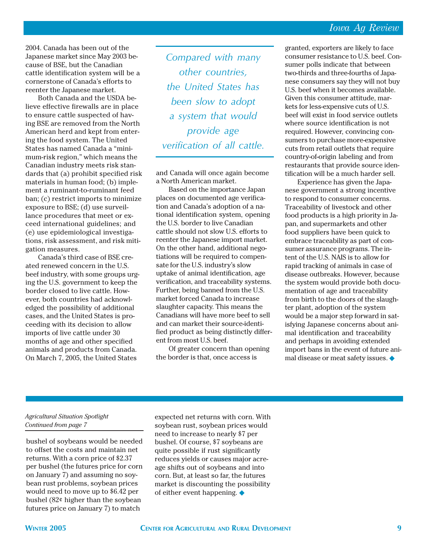2004. Canada has been out of the Japanese market since May 2003 because of BSE, but the Canadian cattle identification system will be a cornerstone of Canada's efforts to reenter the Japanese market.

Both Canada and the USDA believe effective firewalls are in place to ensure cattle suspected of having BSE are removed from the North American herd and kept from entering the food system. The United States has named Canada a "minimum-risk region," which means the Canadian industry meets risk standards that (a) prohibit specified risk materials in human food; (b) implement a ruminant-to-ruminant feed ban; (c) restrict imports to minimize exposure to BSE; (d) use surveillance procedures that meet or exceed international guidelines; and (e) use epidemiological investigations, risk assessment, and risk mitigation measures.

Canada's third case of BSE created renewed concern in the U.S. beef industry, with some groups urging the U.S. government to keep the border closed to live cattle. However, both countries had acknowledged the possibility of additional cases, and the United States is proceeding with its decision to allow imports of live cattle under 30 months of age and other specified animals and products from Canada. On March 7, 2005, the United States

*Compared with many other countries, the United States has been slow to adopt a system that would provide age verification of all cattle.*

and Canada will once again become a North American market.

Based on the importance Japan places on documented age verification and Canada's adoption of a national identification system, opening the U.S. border to live Canadian cattle should not slow U.S. efforts to reenter the Japanese import market. On the other hand, additional negotiations will be required to compensate for the U.S. industry's slow uptake of animal identification, age verification, and traceability systems. Further, being banned from the U.S. market forced Canada to increase slaughter capacity. This means the Canadians will have more beef to sell and can market their source-identified product as being distinctly different from most U.S. beef.

Of greater concern than opening the border is that, once access is

granted, exporters are likely to face consumer resistance to U.S. beef. Consumer polls indicate that between two-thirds and three-fourths of Japanese consumers say they will not buy U.S. beef when it becomes available. Given this consumer attitude, markets for less-expensive cuts of U.S. beef will exist in food service outlets where source identification is not required. However, convincing consumers to purchase more-expensive cuts from retail outlets that require country-of-origin labeling and from restaurants that provide source identification will be a much harder sell.

Experience has given the Japanese government a strong incentive to respond to consumer concerns. Traceability of livestock and other food products is a high priority in Japan, and supermarkets and other food suppliers have been quick to embrace traceability as part of consumer assurance programs. The intent of the U.S. NAIS is to allow for rapid tracking of animals in case of disease outbreaks. However, because the system would provide both documentation of age and traceability from birth to the doors of the slaughter plant, adoption of the system would be a major step forward in satisfying Japanese concerns about animal identification and traceability and perhaps in avoiding extended import bans in the event of future animal disease or meat safety issues. ◆

#### *Agricultural Situation Spotlight Continued from page 7*

bushel of soybeans would be needed to offset the costs and maintain net returns. With a corn price of \$2.37 per bushel (the futures price for corn on January 7) and assuming no soybean rust problems, soybean prices would need to move up to \$6.42 per bushel (82¢ higher than the soybean futures price on January 7) to match

expected net returns with corn. With soybean rust, soybean prices would need to increase to nearly \$7 per bushel. Of course, \$7 soybeans are quite possible if rust significantly reduces yields or causes major acreage shifts out of soybeans and into corn. But, at least so far, the futures market is discounting the possibility of either event happening. ◆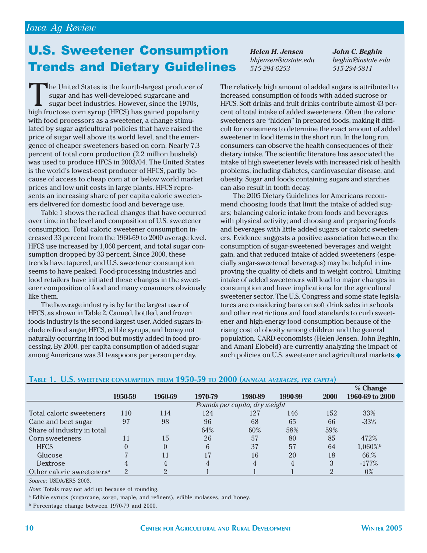## U.S. Sweetener Consumption Trends and Dietary Guidelines

The United States is the fourth-largest producer of sugar and has well-developed sugarcane and sugar beet industries. However, since the 1970s, high fructose corn syrup (HFCS) has gained popularity with food processors as a sweetener, a change stimulated by sugar agricultural policies that have raised the price of sugar well above its world level, and the emergence of cheaper sweeteners based on corn. Nearly 7.3 percent of total corn production (2.2 million bushels) was used to produce HFCS in 2003/04. The United States is the world's lowest-cost producer of HFCS, partly because of access to cheap corn at or below world market prices and low unit costs in large plants. HFCS represents an increasing share of per capita caloric sweeteners delivered for domestic food and beverage use.

Table 1 shows the radical changes that have occurred over time in the level and composition of U.S. sweetener consumption. Total caloric sweetener consumption increased 33 percent from the 1960-69 to 2000 average level. HFCS use increased by 1,060 percent, and total sugar consumption dropped by 33 percent. Since 2000, these trends have tapered, and U.S. sweetener consumption seems to have peaked. Food-processing industries and food retailers have initiated these changes in the sweetener composition of food and many consumers obviously like them.

The beverage industry is by far the largest user of HFCS, as shown in Table 2. Canned, bottled, and frozen foods industry is the second-largest user. Added sugars include refined sugar, HFCS, edible syrups, and honey not naturally occurring in food but mostly added in food processing. By 2000, per capita consumption of added sugar among Americans was 31 teaspoons per person per day.

*Helen H. Jensen hhjensen@iastate.edu 515-294-6253*

*John C. Beghin beghin@iastate.edu 515-294-5811*

The relatively high amount of added sugars is attributed to increased consumption of foods with added sucrose or HFCS. Soft drinks and fruit drinks contribute almost 43 percent of total intake of added sweeteners. Often the caloric sweeteners are "hidden" in prepared foods, making it difficult for consumers to determine the exact amount of added sweetener in food items in the short run. In the long run, consumers can observe the health consequences of their dietary intake. The scientific literature has associated the intake of high sweetener levels with increased risk of health problems, including diabetes, cardiovascular disease, and obesity. Sugar and foods containing sugars and starches can also result in tooth decay.

The 2005 Dietary Guidelines for Americans recommend choosing foods that limit the intake of added sugars; balancing caloric intake from foods and beverages with physical activity; and choosing and preparing foods and beverages with little added sugars or caloric sweeteners. Evidence suggests a positive association between the consumption of sugar-sweetened beverages and weight gain, and that reduced intake of added sweeteners (especially sugar-sweetened beverages) may be helpful in improving the quality of diets and in weight control. Limiting intake of added sweeteners will lead to major changes in consumption and have implications for the agricultural sweetener sector. The U.S. Congress and some state legislatures are considering bans on soft drink sales in schools and other restrictions and food standards to curb sweetener and high-energy food consumption because of the rising cost of obesity among children and the general population. CARD economists (Helen Jensen, John Beghin, and Amani Elobeid) are currently analyzing the impact of such policies on U.S. sweetener and agricultural markets.◆

|                                       |                               |         |         |         |         |      | % Change        |
|---------------------------------------|-------------------------------|---------|---------|---------|---------|------|-----------------|
|                                       | 1950-59                       | 1960-69 | 1970-79 | 1980-89 | 1990-99 | 2000 | 1960-69 to 2000 |
|                                       | Pounds per capita, dry weight |         |         |         |         |      |                 |
| Total caloric sweeteners              | 110                           | 114     | 124     | 127     | 146     | 152  | 33%             |
| Cane and beet sugar                   | 97                            | 98      | 96      | 68      | 65      | 66   | $-33%$          |
| Share of industry in total            |                               |         | 64%     | 60%     | 58%     | 59%  |                 |
| Corn sweeteners                       |                               | 15      | 26      | 57      | 80      | 85   | 472%            |
| <b>HFCS</b>                           |                               |         | 6       | 37      | 57      | 64   | 1,060%b         |
| Glucose                               |                               | 11      | 17      | 16      | 20      | 18   | 66.%            |
| Dextrose                              |                               | 4       |         |         | 4       | 3    | $-177%$         |
| Other caloric sweeteners <sup>a</sup> | റ                             | റ       |         |         |         |      | $0\%$           |

#### **TABLE 1. U.S. SWEETENER CONSUMPTION FROM 1950-59 TO 2000 (***ANNUAL AVERAGES, PER CAPITA***)**

*Source*: USDA/ERS 2003.

*Note*: Totals may not add up because of rounding.

a Edible syrups (sugarcane, sorgo, maple, and refiners), edible molasses, and honey.

b Percentage change between 1970-79 and 2000.

 $\alpha$   $\alpha$ <sup>1</sup>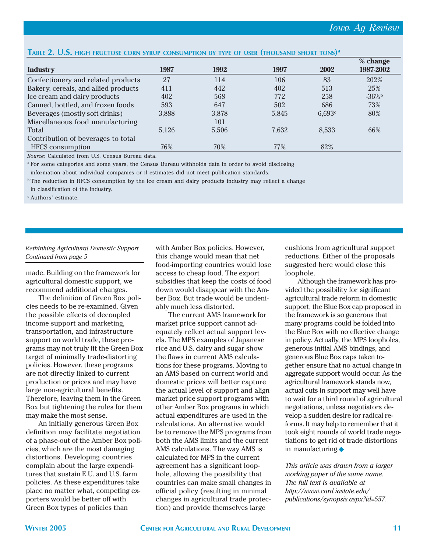#### **TABLE 2. U.S. HIGH FRUCTOSE CORN SYRUP CONSUMPTION BY TYPE OF USER (THOUSAND SHORT TONS) a**

|                                      |       |       |       |        | % change  |
|--------------------------------------|-------|-------|-------|--------|-----------|
| Industry                             | 1987  | 1992  | 1997  | 2002   | 1987-2002 |
| Confectionery and related products   | 27    | 114   | 106   | 83     | 202%      |
| Bakery, cereals, and allied products | 411   | 442   | 402   | 513    | 25%       |
| Ice cream and dairy products         | 402   | 568   | 772   | 258    | $-36\%$   |
| Canned, bottled, and frozen foods    | 593   | 647   | 502   | 686    | 73%       |
| Beverages (mostly soft drinks)       | 3,888 | 3,878 | 5,845 | 6,693c | 80%       |
| Miscellaneous food manufacturing     |       | 101   |       |        |           |
| Total                                | 5,126 | 5,506 | 7,632 | 8,533  | 66%       |
| Contribution of beverages to total   |       |       |       |        |           |
| <b>HFCS</b> consumption              | 76%   | 70%   | 77%   | 82%    |           |

*Source*: Calculated from U.S. Census Bureau data.

<sup>a</sup> For some categories and some years, the Census Bureau withholds data in order to avoid disclosing

information about individual companies or if estimates did not meet publication standards.

 $\overline{b}$  The reduction in HFCS consumption by the ice cream and dairy products industry may reflect a change

in classification of the industry.

<sup>c</sup> Authors' estimate.

#### *Rethinking Agricultural Domestic Support Continued from page 5*

made. Building on the framework for agricultural domestic support, we recommend additional changes.

The definition of Green Box policies needs to be re-examined. Given the possible effects of decoupled income support and marketing, transportation, and infrastructure support on world trade, these programs may not truly fit the Green Box target of minimally trade-distorting policies. However, these programs are not directly linked to current production or prices and may have large non-agricultural benefits. Therefore, leaving them in the Green Box but tightening the rules for them may make the most sense.

An initially generous Green Box definition may facilitate negotiation of a phase-out of the Amber Box policies, which are the most damaging distortions. Developing countries complain about the large expenditures that sustain E.U. and U.S. farm policies. As these expenditures take place no matter what, competing exporters would be better off with Green Box types of policies than

with Amber Box policies. However, this change would mean that net food-importing countries would lose access to cheap food. The export subsidies that keep the costs of food down would disappear with the Amber Box. But trade would be undeniably much less distorted.

The current AMS framework for market price support cannot adequately reflect actual support levels. The MPS examples of Japanese rice and U.S. dairy and sugar show the flaws in current AMS calculations for these programs. Moving to an AMS based on current world and domestic prices will better capture the actual level of support and align market price support programs with other Amber Box programs in which actual expenditures are used in the calculations. An alternative would be to remove the MPS programs from both the AMS limits and the current AMS calculations. The way AMS is calculated for MPS in the current agreement has a significant loophole, allowing the possibility that countries can make small changes in official policy (resulting in minimal changes in agricultural trade protection) and provide themselves large

cushions from agricultural support reductions. Either of the proposals suggested here would close this loophole.

Although the framework has provided the possibility for significant agricultural trade reform in domestic support, the Blue Box cap proposed in the framework is so generous that many programs could be folded into the Blue Box with no effective change in policy. Actually, the MPS loopholes, generous initial AMS bindings, and generous Blue Box caps taken together ensure that no actual change in aggregate support would occur. As the agricultural framework stands now, actual cuts in support may well have to wait for a third round of agricultural negotiations, unless negotiators develop a sudden desire for radical reforms. It may help to remember that it took eight rounds of world trade negotiations to get rid of trade distortions in manufacturing.◆

*This article was drawn from a larger working paper of the same name. The full text is available at http://www.card.iastate.edu/ publications/synopsis.aspx?id=557.*